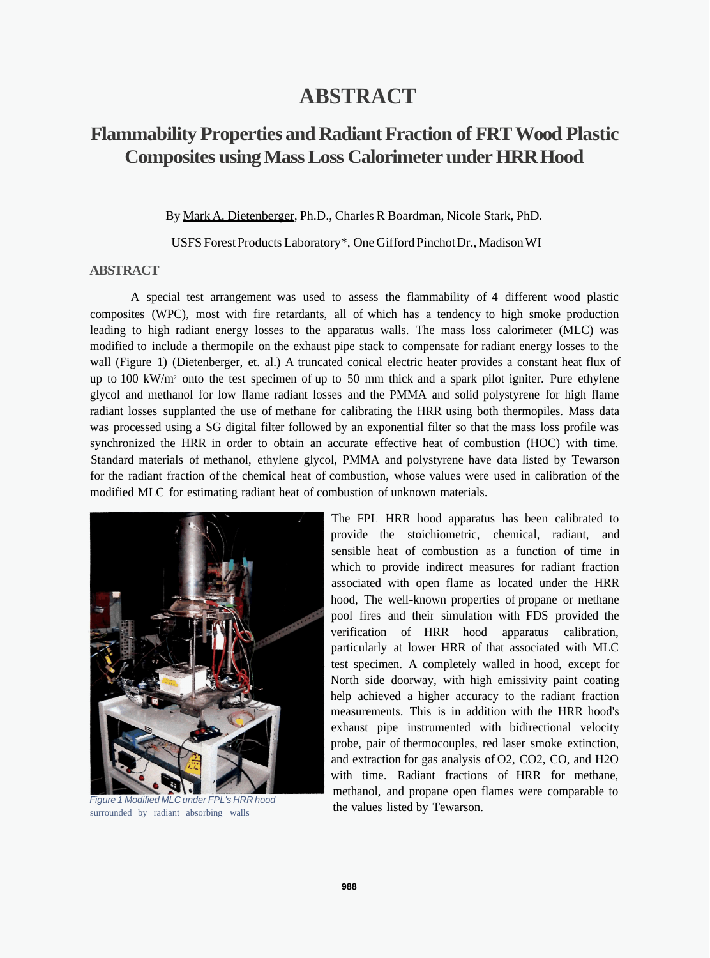## **ABSTRACT**

## **Flammability Properties and Radiant Fraction of FRT Wood Plastic Composites using Mass Loss Calorimeter under HRR Hood**

By Mark A. Dietenberger, Ph.D., Charles R Boardman, Nicole Stark, PhD.

USFS Forest Products Laboratory\*, One Gifford Pinchot Dr., Madison WI

#### **ABSTRACT**

A special test arrangement was used to assess the flammability of 4 different wood plastic composites (WPC), most with fire retardants, all of which has a tendency to high smoke production leading to high radiant energy losses to the apparatus walls. The mass loss calorimeter (MLC) was modified to include a thermopile on the exhaust pipe stack to compensate for radiant energy losses to the wall (Figure 1) (Dietenberger, et. al.) A truncated conical electric heater provides a constant heat flux of up to 100 kW/m<sup>2</sup> onto the test specimen of up to 50 mm thick and a spark pilot igniter. Pure ethylene glycol and methanol for low flame radiant losses and the PMMA and solid polystyrene for high flame radiant losses supplanted the use of methane for calibrating the HRR using both thermopiles. Mass data was processed using a SG digital filter followed by an exponential filter so that the mass loss profile was synchronized the HRR in order to obtain an accurate effective heat of combustion (HOC) with time. Standard materials of methanol, ethylene glycol, PMMA and polystyrene have data listed by Tewarson for the radiant fraction of the chemical heat of combustion, whose values were used in calibration of the modified MLC for estimating radiant heat of combustion of unknown materials.



the values listed by Tewarson. *Figure 1 Modified MLC under FPL's HRR hood* 

The FPL HRR hood apparatus has been calibrated to provide the stoichiometric, chemical, radiant, and sensible heat of combustion as a function of time in which to provide indirect measures for radiant fraction associated with open flame as located under the HRR hood, The well-known properties of propane or methane pool fires and their simulation with FDS provided the verification of HRR hood apparatus calibration, particularly at lower HRR of that associated with MLC test specimen. A completely walled in hood, except for North side doorway, with high emissivity paint coating help achieved a higher accuracy to the radiant fraction measurements. This is in addition with the HRR hood's exhaust pipe instrumented with bidirectional velocity probe, pair of thermocouples, red laser smoke extinction, and extraction for gas analysis of O2, CO2, CO, and H2O with time. Radiant fractions of HRR for methane, methanol, and propane open flames were comparable to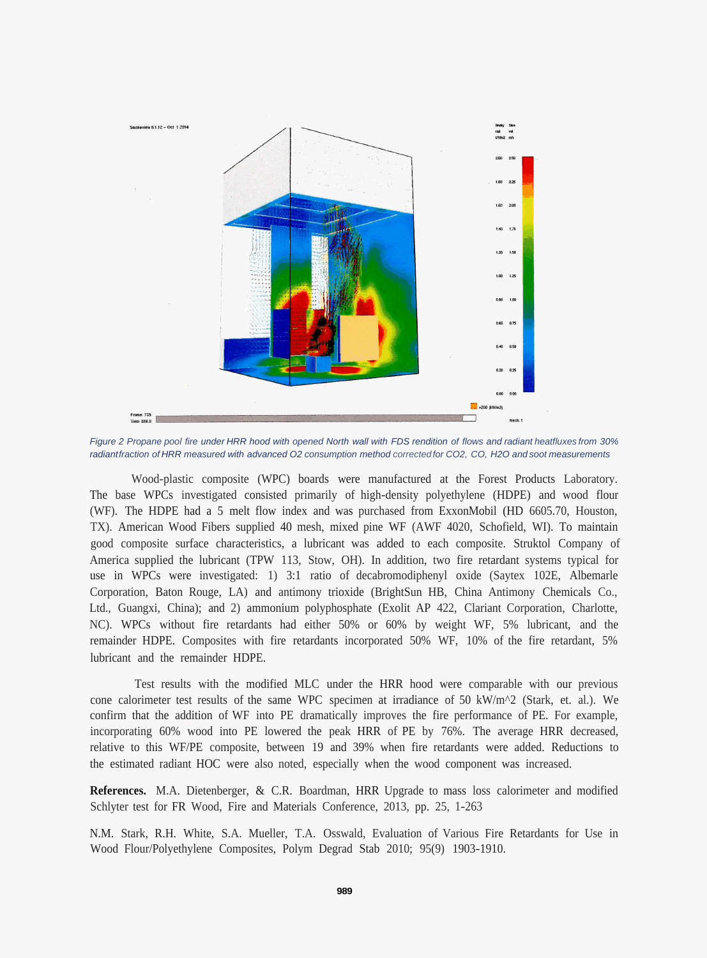

*Figure 2 Propane pool fire under HRR hood with opened North wall with FDS rendition of flows and radiant heatfluxes from 30% radiant fraction of HRR measured with advanced O2 consumption method corrected for CO2, CO, H2O and soot measurements* 

Wood-plastic composite (WPC) boards were manufactured at the Forest Products Laboratory. The base WPCs investigated consisted primarily of high-density polyethylene (HDPE) and wood flour (WF). The HDPE had a 5 melt flow index and was purchased from ExxonMobil (HD 6605.70, Houston, TX). American Wood Fibers supplied 40 mesh, mixed pine WF (AWF 4020, Schofield, WI). To maintain good composite surface characteristics, a lubricant was added to each composite. Struktol Company of America supplied the lubricant (TPW 113, Stow, OH). In addition, two fire retardant systems typical for use in WPCs were investigated: 1) 3:1 ratio of decabromodiphenyl oxide (Saytex 102E, Albemarle Corporation, Baton Rouge, LA) and antimony trioxide (BrightSun HB, China Antimony Chemicals Co., Ltd., Guangxi, China); and 2) ammonium polyphosphate (Exolit AP 422, Clariant Corporation, Charlotte, NC). WPCs without fire retardants had either 50% or 60% by weight WF, 5% lubricant, and the remainder HDPE. Composites with fire retardants incorporated 50% WF, 10% of the fire retardant, 5% lubricant and the remainder HDPE.

Test results with the modified MLC under the HRR hood were comparable with our previous cone calorimeter test results of the same WPC specimen at irradiance of 50 kW/m^2 (Stark, et. al.). We confirm that the addition of WF into PE dramatically improves the fire performance of PE. For example, incorporating 60% wood into PE lowered the peak HRR of PE by 76%. The average HRR decreased, relative to this WF/PE composite, between 19 and 39% when fire retardants were added. Reductions to the estimated radiant HOC were also noted, especially when the wood component was increased.

**References.** M.A. Dietenberger, & C.R. Boardman, HRR Upgrade to mass loss calorimeter and modified Schlyter test for FR Wood, Fire and Materials Conference, 2013, pp. 25, 1-263

N.M. Stark, R.H. White, S.A. Mueller, T.A. Osswald, Evaluation of Various Fire Retardants for Use in Wood Flour/Polyethylene Composites, Polym Degrad Stab 2010; 95(9) 1903-1910.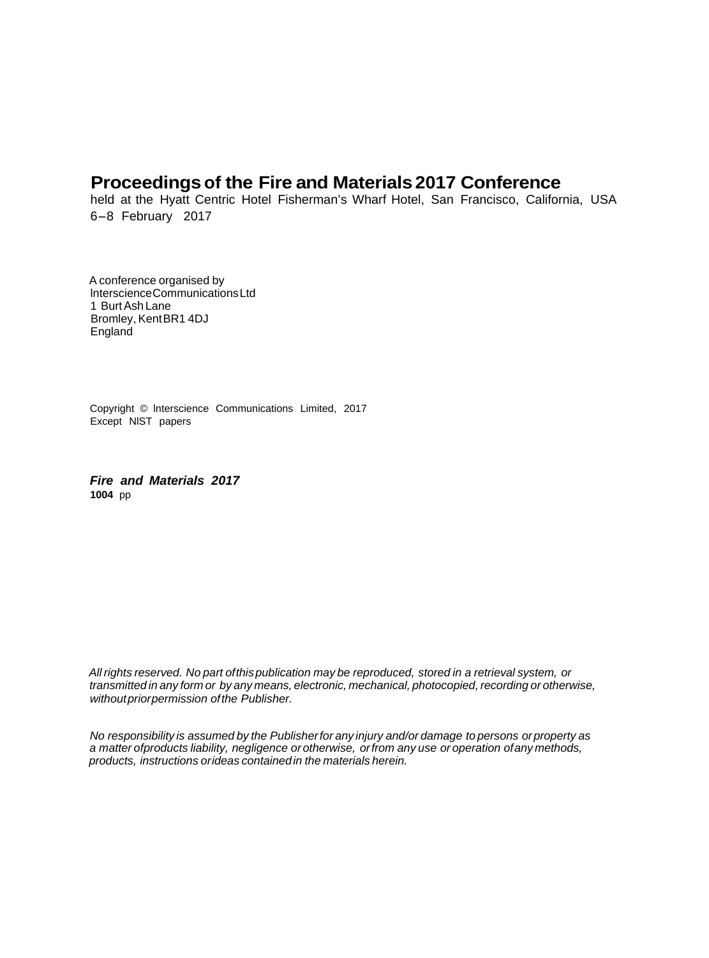### **Proceedings of the Fire and Materials 2017 Conference**

held at the Hyatt Centric Hotel Fisherman's Wharf Hotel, San Francisco, California, USA 6-8 February 2017

A conference organised by lnterscience Communications Ltd 1 Burt Ash Lane Bromley, Kent BR1 4DJ England

Copyright © lnterscience Communications Limited, 2017 Except NlST papers

*Fire and Materials 2017*  **1004** pp

*All rights reserved. No part of this publication may be reproduced, stored in a retrieval system, or transmitted in any form or by any means, electronic, mechanical, photocopied, recording or otherwise, without prior permission of the Publisher.* 

*No responsibility is assumed by the Publisher for any injury and/or damage to persons or property as a matter of products liability, negligence or otherwise, or from any use or operation of any methods, products, instructions or ideas contained in the materials herein.*